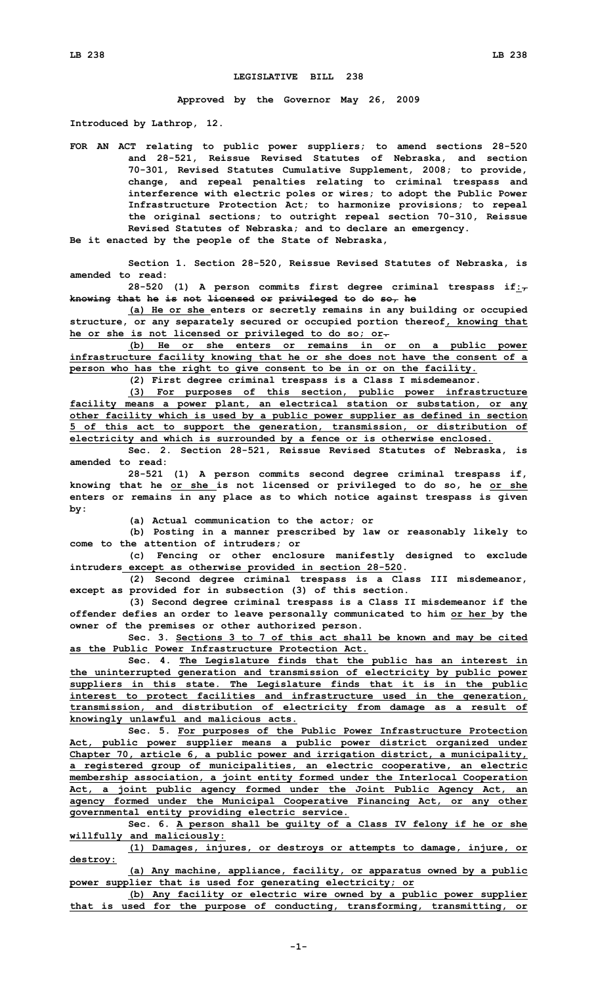## **LEGISLATIVE BILL 238**

**Approved by the Governor May 26, 2009**

**Introduced by Lathrop, 12.**

**FOR AN ACT relating to public power suppliers; to amend sections 28-520 and 28-521, Reissue Revised Statutes of Nebraska, and section 70-301, Revised Statutes Cumulative Supplement, 2008; to provide, change, and repeal penalties relating to criminal trespass and interference with electric poles or wires; to adopt the Public Power Infrastructure Protection Act; to harmonize provisions; to repeal the original sections; to outright repeal section 70-310, Reissue Revised Statutes of Nebraska; and to declare an emergency.**

**Be it enacted by the people of the State of Nebraska,**

**Section 1. Section 28-520, Reissue Revised Statutes of Nebraska, is amended to read:**

**28-520 (1) <sup>A</sup> person commits first degree criminal trespass if:, knowing that he is not licensed or privileged to do so, he**

**(a) He or she enters or secretly remains in any building or occupied structure, or any separately secured or occupied portion thereof, knowing that he or she is not licensed or privileged to do so; or.**

**(b) He or she enters or remains in or on <sup>a</sup> public power infrastructure facility knowing that he or she does not have the consent of <sup>a</sup> person who has the right to give consent to be in or on the facility.**

**(2) First degree criminal trespass is <sup>a</sup> Class <sup>I</sup> misdemeanor.**

**(3) For purposes of this section, public power infrastructure facility means <sup>a</sup> power plant, an electrical station or substation, or any other facility which is used by <sup>a</sup> public power supplier as defined in section 5 of this act to support the generation, transmission, or distribution of electricity and which is surrounded by <sup>a</sup> fence or is otherwise enclosed.**

**Sec. 2. Section 28-521, Reissue Revised Statutes of Nebraska, is amended to read:**

**28-521 (1) <sup>A</sup> person commits second degree criminal trespass if, knowing that he or she is not licensed or privileged to do so, he or she enters or remains in any place as to which notice against trespass is given by:**

**(a) Actual communication to the actor; or**

**(b) Posting in <sup>a</sup> manner prescribed by law or reasonably likely to come to the attention of intruders; or**

**(c) Fencing or other enclosure manifestly designed to exclude intruders except as otherwise provided in section 28-520.**

**(2) Second degree criminal trespass is <sup>a</sup> Class III misdemeanor, except as provided for in subsection (3) of this section.**

**(3) Second degree criminal trespass is <sup>a</sup> Class II misdemeanor if the offender defies an order to leave personally communicated to him or her by the owner of the premises or other authorized person.**

**Sec. 3. Sections 3 to 7 of this act shall be known and may be cited as the Public Power Infrastructure Protection Act.**

**Sec. 4. The Legislature finds that the public has an interest in the uninterrupted generation and transmission of electricity by public power suppliers in this state. The Legislature finds that it is in the public interest to protect facilities and infrastructure used in the generation, transmission, and distribution of electricity from damage as <sup>a</sup> result of knowingly unlawful and malicious acts.**

**Sec. 5. For purposes of the Public Power Infrastructure Protection Act, public power supplier means <sup>a</sup> public power district organized under Chapter 70, article 6, <sup>a</sup> public power and irrigation district, <sup>a</sup> municipality, <sup>a</sup> registered group of municipalities, an electric cooperative, an electric membership association, <sup>a</sup> joint entity formed under the Interlocal Cooperation Act, <sup>a</sup> joint public agency formed under the Joint Public Agency Act, an agency formed under the Municipal Cooperative Financing Act, or any other governmental entity providing electric service.**

**Sec. 6. <sup>A</sup> person shall be guilty of <sup>a</sup> Class IV felony if he or she willfully and maliciously:**

**(1) Damages, injures, or destroys or attempts to damage, injure, or destroy:**

**(a) Any machine, appliance, facility, or apparatus owned by <sup>a</sup> public power supplier that is used for generating electricity; or**

**(b) Any facility or electric wire owned by <sup>a</sup> public power supplier that is used for the purpose of conducting, transforming, transmitting, or**